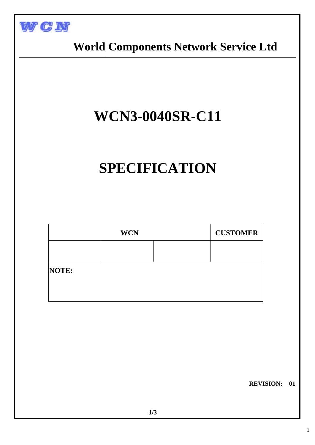

 **World Components Network Service Ltd**

# **WCN3-0040SR-C11**

# **SPECIFICATION**

| <b>WCN</b> |  |  | <b>CUSTOMER</b> |
|------------|--|--|-----------------|
|            |  |  |                 |
| NOTE:      |  |  |                 |
|            |  |  |                 |

 **REVISION: 01**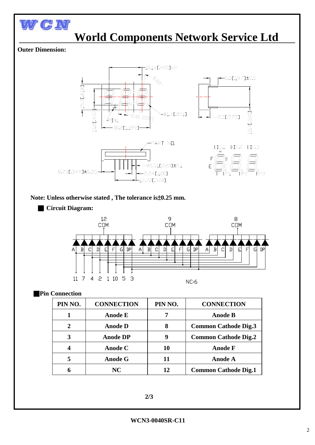

## **World Components Network Service Ltd**

### **Outer Dimension:**



### **Note: Unless otherwise stated , The tolerance is**±**0.25 mm.**





### ■**Pin Connection**

| PIN NO.        | <b>CONNECTION</b> | PIN NO. | <b>CONNECTION</b>           |
|----------------|-------------------|---------|-----------------------------|
|                | <b>Anode E</b>    |         | <b>Anode B</b>              |
| $\overline{2}$ | <b>Anode D</b>    | 8       | <b>Common Cathode Dig.3</b> |
| 3              | <b>Anode DP</b>   | 9       | <b>Common Cathode Dig.2</b> |
|                | Anode C           | 10      | <b>Anode F</b>              |
| 5              | <b>Anode G</b>    | 11      | <b>Anode A</b>              |
| 6              | NC.               |         | <b>Common Cathode Dig.1</b> |